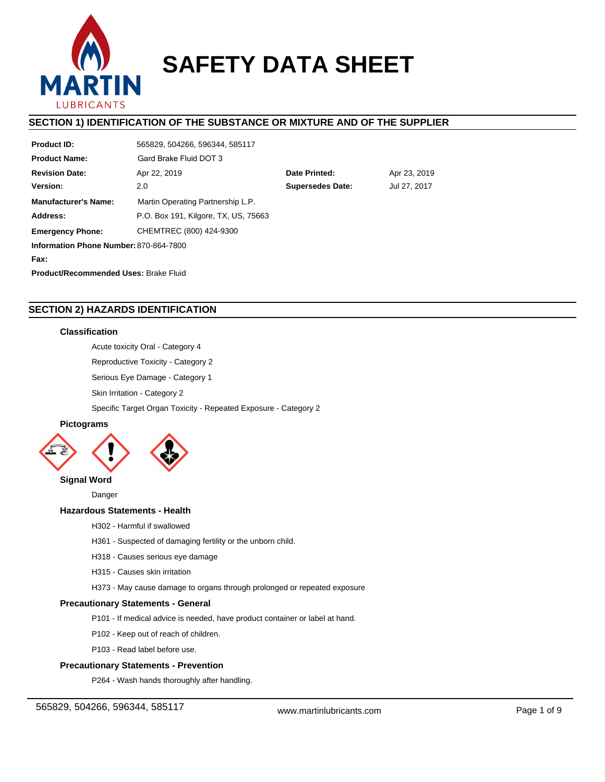

# **SAFETY DATA SHEET**

### **SECTION 1) IDENTIFICATION OF THE SUBSTANCE OR MIXTURE AND OF THE SUPPLIER**

| <b>Product ID:</b>                     | 565829, 504266, 596344, 585117                 |               |              |  |
|----------------------------------------|------------------------------------------------|---------------|--------------|--|
| <b>Product Name:</b>                   | Gard Brake Fluid DOT 3                         |               |              |  |
| <b>Revision Date:</b>                  | Apr 22, 2019                                   | Date Printed: | Apr 23, 2019 |  |
| Version:                               | <b>Supersedes Date:</b><br>Jul 27, 2017<br>2.0 |               |              |  |
| <b>Manufacturer's Name:</b>            | Martin Operating Partnership L.P.              |               |              |  |
| Address:                               | P.O. Box 191, Kilgore, TX, US, 75663           |               |              |  |
| <b>Emergency Phone:</b>                | CHEMTREC (800) 424-9300                        |               |              |  |
| Information Phone Number: 870-864-7800 |                                                |               |              |  |
| Fax:                                   |                                                |               |              |  |
| Product/Recommended Uses: Brake Fluid  |                                                |               |              |  |

### **SECTION 2) HAZARDS IDENTIFICATION**

### **Classification**

Acute toxicity Oral - Category 4

Reproductive Toxicity - Category 2

Serious Eye Damage - Category 1

Skin Irritation - Category 2

Specific Target Organ Toxicity - Repeated Exposure - Category 2

## **Pictograms**



Danger

# **Hazardous Statements - Health**

- H302 Harmful if swallowed
- H361 Suspected of damaging fertility or the unborn child.
- H318 Causes serious eye damage
- H315 Causes skin irritation

H373 - May cause damage to organs through prolonged or repeated exposure

### **Precautionary Statements - General**

- P101 If medical advice is needed, have product container or label at hand.
- P102 Keep out of reach of children.
- P103 Read label before use.

### **Precautionary Statements - Prevention**

P264 - Wash hands thoroughly after handling.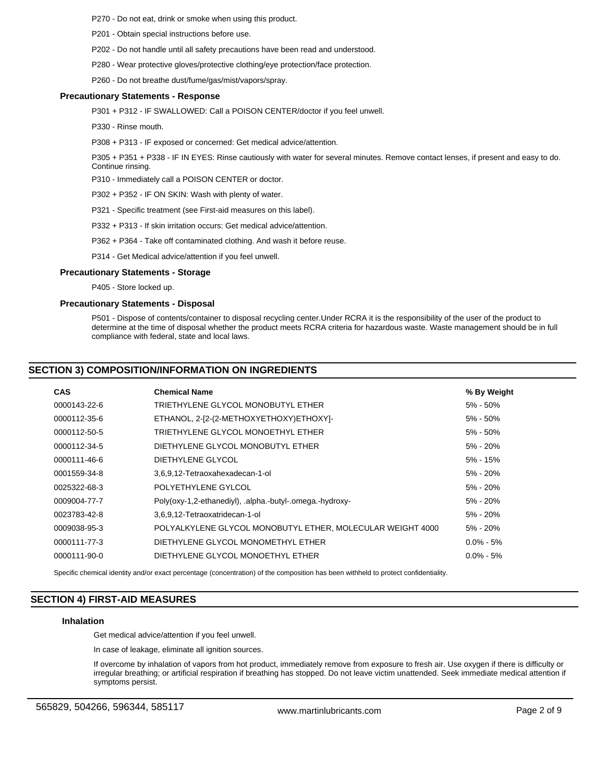P270 - Do not eat, drink or smoke when using this product.

P201 - Obtain special instructions before use.

- P202 Do not handle until all safety precautions have been read and understood.
- P280 Wear protective gloves/protective clothing/eye protection/face protection.
- P260 Do not breathe dust/fume/gas/mist/vapors/spray.

#### **Precautionary Statements - Response**

P301 + P312 - IF SWALLOWED: Call a POISON CENTER/doctor if you feel unwell.

P330 - Rinse mouth.

P308 + P313 - IF exposed or concerned: Get medical advice/attention.

P305 + P351 + P338 - IF IN EYES: Rinse cautiously with water for several minutes. Remove contact lenses, if present and easy to do. Continue rinsing.

P310 - Immediately call a POISON CENTER or doctor.

P302 + P352 - IF ON SKIN: Wash with plenty of water.

P321 - Specific treatment (see First-aid measures on this label).

P332 + P313 - If skin irritation occurs: Get medical advice/attention.

P362 + P364 - Take off contaminated clothing. And wash it before reuse.

P314 - Get Medical advice/attention if you feel unwell.

#### **Precautionary Statements - Storage**

P405 - Store locked up.

### **Precautionary Statements - Disposal**

P501 - Dispose of contents/container to disposal recycling center.Under RCRA it is the responsibility of the user of the product to determine at the time of disposal whether the product meets RCRA criteria for hazardous waste. Waste management should be in full compliance with federal, state and local laws.

### **SECTION 3) COMPOSITION/INFORMATION ON INGREDIENTS**

| <b>CAS</b>   | <b>Chemical Name</b>                                       | % By Weight   |
|--------------|------------------------------------------------------------|---------------|
| 0000143-22-6 | TRIETHYLENE GLYCOL MONOBUTYL ETHER                         | $5\% - 50\%$  |
| 0000112-35-6 | ETHANOL, 2-[2-(2-METHOXYETHOXY)ETHOXY]-                    | $5\% - 50\%$  |
| 0000112-50-5 | TRIETHYLENE GLYCOL MONOETHYL ETHER                         | $5\% - 50\%$  |
| 0000112-34-5 | DIETHYLENE GLYCOL MONOBUTYL ETHER                          | 5% - 20%      |
| 0000111-46-6 | DIETHYLENE GLYCOL                                          | $5\% - 15\%$  |
| 0001559-34-8 | 3.6.9.12-Tetraoxahexadecan-1-ol                            | 5% - 20%      |
| 0025322-68-3 | POLYETHYLENE GYLCOL                                        | 5% - 20%      |
| 0009004-77-7 | Poly(oxy-1,2-ethanediyl), .alpha.-butyl-.omega.-hydroxy-   | 5% - 20%      |
| 0023783-42-8 | 3,6,9,12-Tetraoxatridecan-1-ol                             | $5\% - 20\%$  |
| 0009038-95-3 | POLYALKYLENE GLYCOL MONOBUTYL ETHER, MOLECULAR WEIGHT 4000 | 5% - 20%      |
| 0000111-77-3 | DIETHYLENE GLYCOL MONOMETHYL ETHER                         | $0.0\% - 5\%$ |
| 0000111-90-0 | DIETHYLENE GLYCOL MONOETHYL ETHER                          | $0.0\% - 5\%$ |

Specific chemical identity and/or exact percentage (concentration) of the composition has been withheld to protect confidentiality.

### **SECTION 4) FIRST-AID MEASURES**

#### **Inhalation**

Get medical advice/attention if you feel unwell.

In case of leakage, eliminate all ignition sources.

If overcome by inhalation of vapors from hot product, immediately remove from exposure to fresh air. Use oxygen if there is difficulty or irregular breathing; or artificial respiration if breathing has stopped. Do not leave victim unattended. Seek immediate medical attention if symptoms persist.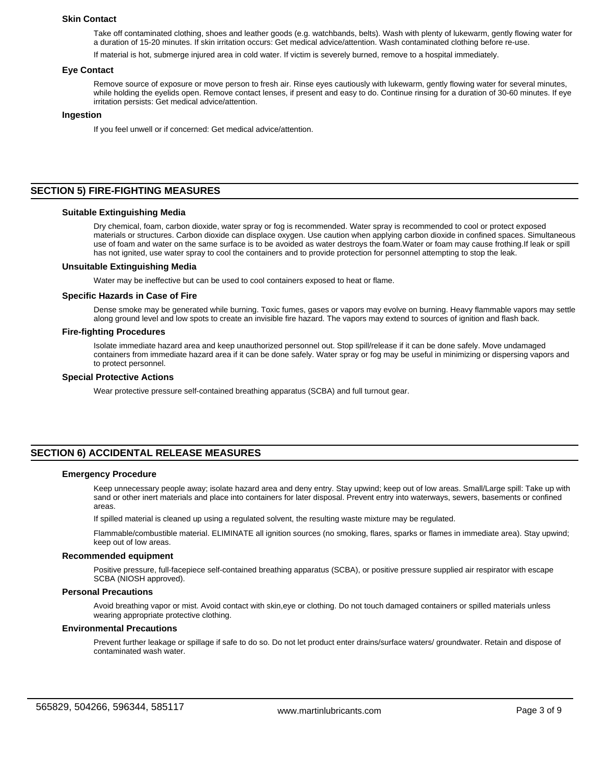#### **Skin Contact**

Take off contaminated clothing, shoes and leather goods (e.g. watchbands, belts). Wash with plenty of lukewarm, gently flowing water for a duration of 15-20 minutes. If skin irritation occurs: Get medical advice/attention. Wash contaminated clothing before re-use.

If material is hot, submerge injured area in cold water. If victim is severely burned, remove to a hospital immediately.

#### **Eye Contact**

Remove source of exposure or move person to fresh air. Rinse eyes cautiously with lukewarm, gently flowing water for several minutes, while holding the eyelids open. Remove contact lenses, if present and easy to do. Continue rinsing for a duration of 30-60 minutes. If eye irritation persists: Get medical advice/attention.

#### **Ingestion**

If you feel unwell or if concerned: Get medical advice/attention.

### **SECTION 5) FIRE-FIGHTING MEASURES**

#### **Suitable Extinguishing Media**

Dry chemical, foam, carbon dioxide, water spray or fog is recommended. Water spray is recommended to cool or protect exposed materials or structures. Carbon dioxide can displace oxygen. Use caution when applying carbon dioxide in confined spaces. Simultaneous use of foam and water on the same surface is to be avoided as water destroys the foam.Water or foam may cause frothing.If leak or spill has not ignited, use water spray to cool the containers and to provide protection for personnel attempting to stop the leak.

#### **Unsuitable Extinguishing Media**

Water may be ineffective but can be used to cool containers exposed to heat or flame.

#### **Specific Hazards in Case of Fire**

Dense smoke may be generated while burning. Toxic fumes, gases or vapors may evolve on burning. Heavy flammable vapors may settle along ground level and low spots to create an invisible fire hazard. The vapors may extend to sources of ignition and flash back.

#### **Fire-fighting Procedures**

Isolate immediate hazard area and keep unauthorized personnel out. Stop spill/release if it can be done safely. Move undamaged containers from immediate hazard area if it can be done safely. Water spray or fog may be useful in minimizing or dispersing vapors and to protect personnel.

#### **Special Protective Actions**

Wear protective pressure self-contained breathing apparatus (SCBA) and full turnout gear.

### **SECTION 6) ACCIDENTAL RELEASE MEASURES**

#### **Emergency Procedure**

Keep unnecessary people away; isolate hazard area and deny entry. Stay upwind; keep out of low areas. Small/Large spill: Take up with sand or other inert materials and place into containers for later disposal. Prevent entry into waterways, sewers, basements or confined areas.

If spilled material is cleaned up using a regulated solvent, the resulting waste mixture may be regulated.

Flammable/combustible material. ELIMINATE all ignition sources (no smoking, flares, sparks or flames in immediate area). Stay upwind; keep out of low areas.

#### **Recommended equipment**

Positive pressure, full-facepiece self-contained breathing apparatus (SCBA), or positive pressure supplied air respirator with escape SCBA (NIOSH approved).

### **Personal Precautions**

Avoid breathing vapor or mist. Avoid contact with skin,eye or clothing. Do not touch damaged containers or spilled materials unless wearing appropriate protective clothing.

#### **Environmental Precautions**

Prevent further leakage or spillage if safe to do so. Do not let product enter drains/surface waters/ groundwater. Retain and dispose of contaminated wash water.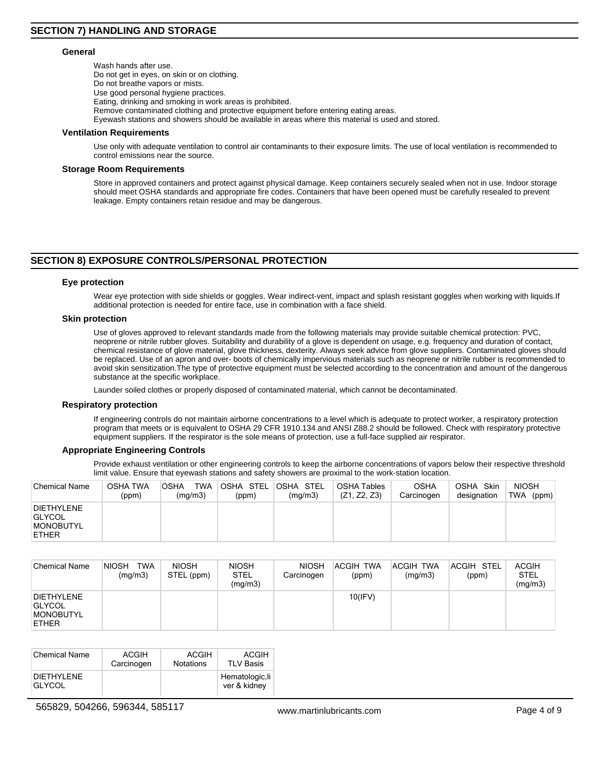#### **General**

Wash hands after use. Do not get in eyes, on skin or on clothing. Do not breathe vapors or mists. Use good personal hygiene practices. Eating, drinking and smoking in work areas is prohibited. Remove contaminated clothing and protective equipment before entering eating areas. Eyewash stations and showers should be available in areas where this material is used and stored.

#### **Ventilation Requirements**

Use only with adequate ventilation to control air contaminants to their exposure limits. The use of local ventilation is recommended to control emissions near the source.

### **Storage Room Requirements**

Store in approved containers and protect against physical damage. Keep containers securely sealed when not in use. Indoor storage should meet OSHA standards and appropriate fire codes. Containers that have been opened must be carefully resealed to prevent leakage. Empty containers retain residue and may be dangerous.

### **SECTION 8) EXPOSURE CONTROLS/PERSONAL PROTECTION**

### **Eye protection**

Wear eye protection with side shields or goggles. Wear indirect-vent, impact and splash resistant goggles when working with liquids.If additional protection is needed for entire face, use in combination with a face shield.

#### **Skin protection**

Use of gloves approved to relevant standards made from the following materials may provide suitable chemical protection: PVC, neoprene or nitrile rubber gloves. Suitability and durability of a glove is dependent on usage, e.g. frequency and duration of contact, chemical resistance of glove material, glove thickness, dexterity. Always seek advice from glove suppliers. Contaminated gloves should be replaced. Use of an apron and over- boots of chemically impervious materials such as neoprene or nitrile rubber is recommended to avoid skin sensitization.The type of protective equipment must be selected according to the concentration and amount of the dangerous substance at the specific workplace.

Launder soiled clothes or properly disposed of contaminated material, which cannot be decontaminated.

#### **Respiratory protection**

If engineering controls do not maintain airborne concentrations to a level which is adequate to protect worker, a respiratory protection program that meets or is equivalent to OSHA 29 CFR 1910.134 and ANSI Z88.2 should be followed. Check with respiratory protective equipment suppliers. If the respirator is the sole means of protection, use a full-face supplied air respirator.

#### **Appropriate Engineering Controls**

Provide exhaust ventilation or other engineering controls to keep the airborne concentrations of vapors below their respective threshold limit value. Ensure that eyewash stations and safety showers are proximal to the work-station location.

| Chemical Name                                                          | <b>OSHA TWA</b><br>(ppm) | TWA<br>OSHA<br>(mq/m3) | OSHA STEL<br>(ppm) | OSHA STEL<br>(mq/m3) | <b>OSHA Tables</b><br>(Z1, Z2, Z3) | OSHA<br>Carcinogen | OSHA<br>Skin<br>designation | <b>NIOSH</b><br>TWA<br>(ppm) |
|------------------------------------------------------------------------|--------------------------|------------------------|--------------------|----------------------|------------------------------------|--------------------|-----------------------------|------------------------------|
| <b>DIETHYLENE</b><br><b>GLYCOL</b><br><b>MONOBUTYL</b><br><b>ETHER</b> |                          |                        |                    |                      |                                    |                    |                             |                              |

| <b>Chemical Name</b>                                                   | <b>TWA</b><br><b>NIOSH</b><br>(mq/m3) | <b>NIOSH</b><br>STEL (ppm) | NIOSH<br><b>STEL</b><br>(mg/m3) | <b>NIOSH</b><br>Carcinogen | <b>ACGIH</b><br><b>TWA</b><br>(ppm) | ACGIH TWA<br>(mq/m3) | ACGIH STEL<br>(ppm) | <b>ACGIH</b><br><b>STEL</b><br>(mg/m3) |
|------------------------------------------------------------------------|---------------------------------------|----------------------------|---------------------------------|----------------------------|-------------------------------------|----------------------|---------------------|----------------------------------------|
| <b>DIETHYLENE</b><br><b>GLYCOL</b><br><b>MONOBUTYL</b><br><b>ETHER</b> |                                       |                            |                                 |                            | $10$ (IFV)                          |                      |                     |                                        |

| <b>Chemical Name</b>               | ACGIH      | ACGIH            | ACGIH                           |
|------------------------------------|------------|------------------|---------------------------------|
|                                    | Carcinogen | <b>Notations</b> | <b>TLV Basis</b>                |
| <b>DIETHYLENE</b><br><b>GLYCOL</b> |            |                  | Hematologic, li<br>ver & kidney |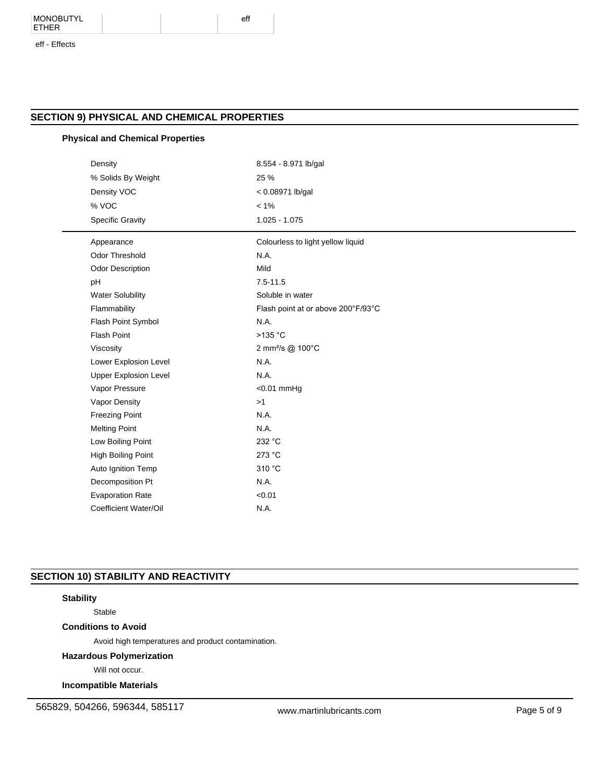#### MONOBUTYL ETHER

#### eff - Effects

### **SECTION 9) PHYSICAL AND CHEMICAL PROPERTIES**

### **Physical and Chemical Properties**

| Density                      | 8.554 - 8.971 lb/gal               |  |  |
|------------------------------|------------------------------------|--|--|
| % Solids By Weight           | 25 %                               |  |  |
| Density VOC                  | $< 0.08971$ lb/gal                 |  |  |
| % VOC                        | $< 1\%$                            |  |  |
| <b>Specific Gravity</b>      | $1.025 - 1.075$                    |  |  |
| Appearance                   | Colourless to light yellow liquid  |  |  |
| <b>Odor Threshold</b>        | N.A.                               |  |  |
| Odor Description             | Mild                               |  |  |
| pH                           | $7.5 - 11.5$                       |  |  |
| <b>Water Solubility</b>      | Soluble in water                   |  |  |
| Flammability                 | Flash point at or above 200°F/93°C |  |  |
| Flash Point Symbol           | N.A.                               |  |  |
| <b>Flash Point</b>           | >135 °C                            |  |  |
| Viscosity                    | 2 mm <sup>2</sup> /s @ 100°C       |  |  |
| Lower Explosion Level        | N.A.                               |  |  |
| <b>Upper Explosion Level</b> | N.A.                               |  |  |
| Vapor Pressure               | <0.01 mmHg                         |  |  |
| Vapor Density                | >1                                 |  |  |
| <b>Freezing Point</b>        | N.A.                               |  |  |
| <b>Melting Point</b>         | N.A.                               |  |  |
| Low Boiling Point            | 232 °C                             |  |  |
| <b>High Boiling Point</b>    | 273 °C                             |  |  |
| Auto Ignition Temp           | 310 °C                             |  |  |
| Decomposition Pt             | N.A.                               |  |  |
| <b>Evaporation Rate</b>      | < 0.01                             |  |  |
| Coefficient Water/Oil        | N.A.                               |  |  |

### **SECTION 10) STABILITY AND REACTIVITY**

### **Stability**

Stable

### **Conditions to Avoid**

Avoid high temperatures and product contamination.

### **Hazardous Polymerization**

Will not occur.

### **Incompatible Materials**

565829, 504266, 596344, 585117 www.martinlubricants.com Page 5 of 9

eff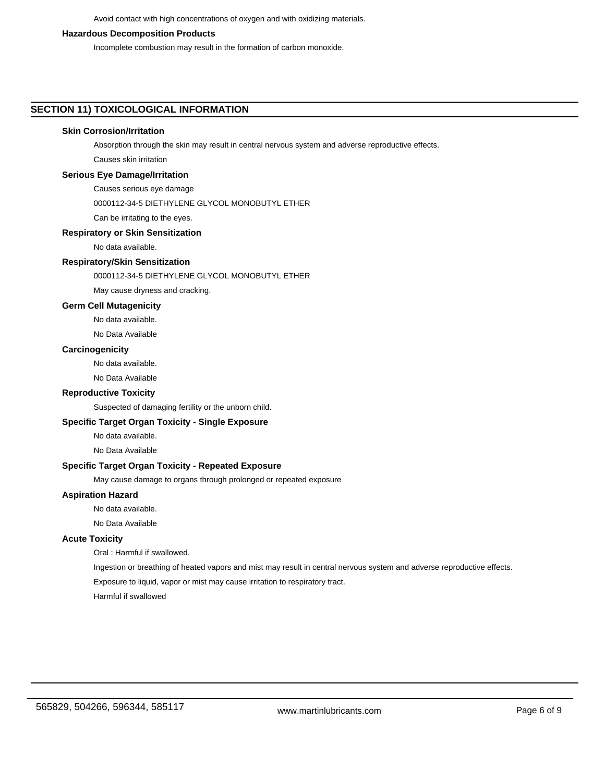Avoid contact with high concentrations of oxygen and with oxidizing materials.

#### **Hazardous Decomposition Products**

Incomplete combustion may result in the formation of carbon monoxide.

### **SECTION 11) TOXICOLOGICAL INFORMATION**

### **Skin Corrosion/Irritation**

Absorption through the skin may result in central nervous system and adverse reproductive effects.

Causes skin irritation

### **Serious Eye Damage/Irritation**

Causes serious eye damage

0000112-34-5 DIETHYLENE GLYCOL MONOBUTYL ETHER

Can be irritating to the eyes.

### **Respiratory or Skin Sensitization**

No data available.

### **Respiratory/Skin Sensitization**

0000112-34-5 DIETHYLENE GLYCOL MONOBUTYL ETHER

May cause dryness and cracking.

#### **Germ Cell Mutagenicity**

No data available.

No Data Available

### **Carcinogenicity**

No data available.

No Data Available

### **Reproductive Toxicity**

Suspected of damaging fertility or the unborn child.

### **Specific Target Organ Toxicity - Single Exposure**

No data available.

No Data Available

### **Specific Target Organ Toxicity - Repeated Exposure**

May cause damage to organs through prolonged or repeated exposure

### **Aspiration Hazard**

No data available.

No Data Available

### **Acute Toxicity**

Oral : Harmful if swallowed.

Ingestion or breathing of heated vapors and mist may result in central nervous system and adverse reproductive effects.

Exposure to liquid, vapor or mist may cause irritation to respiratory tract.

Harmful if swallowed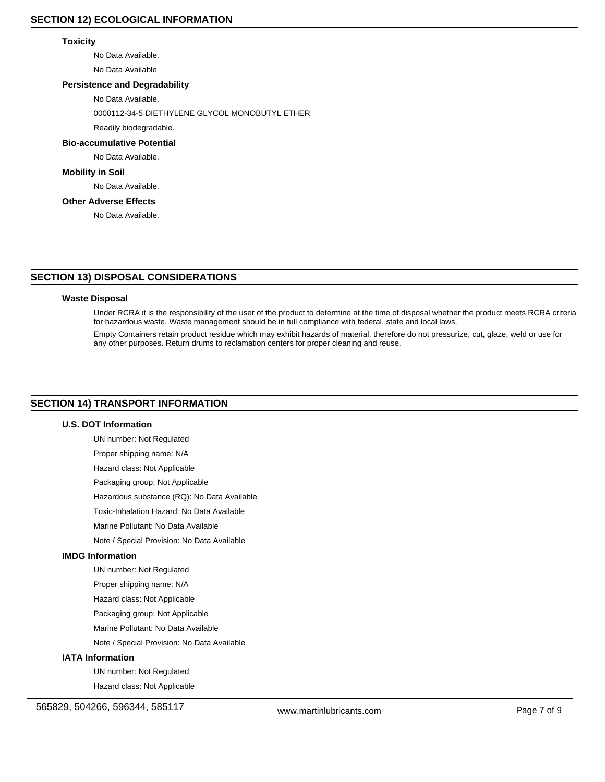### **Toxicity**

No Data Available.

No Data Available

### **Persistence and Degradability**

No Data Available.

0000112-34-5 DIETHYLENE GLYCOL MONOBUTYL ETHER

# Readily biodegradable.

**Bio-accumulative Potential**

# No Data Available.

**Mobility in Soil**

No Data Available.

### **Other Adverse Effects**

No Data Available.

### **SECTION 13) DISPOSAL CONSIDERATIONS**

### **Waste Disposal**

Under RCRA it is the responsibility of the user of the product to determine at the time of disposal whether the product meets RCRA criteria for hazardous waste. Waste management should be in full compliance with federal, state and local laws.

Empty Containers retain product residue which may exhibit hazards of material, therefore do not pressurize, cut, glaze, weld or use for any other purposes. Return drums to reclamation centers for proper cleaning and reuse.

### **SECTION 14) TRANSPORT INFORMATION**

### **U.S. DOT Information**

UN number: Not Regulated Proper shipping name: N/A Hazard class: Not Applicable Packaging group: Not Applicable

Hazardous substance (RQ): No Data Available

Toxic-Inhalation Hazard: No Data Available

Marine Pollutant: No Data Available

Note / Special Provision: No Data Available

### **IMDG Information**

UN number: Not Regulated

Proper shipping name: N/A

Hazard class: Not Applicable

Packaging group: Not Applicable

Marine Pollutant: No Data Available

Note / Special Provision: No Data Available

### **IATA Information**

UN number: Not Regulated

Hazard class: Not Applicable

565829, 504266, 596344, 585117 www.martinlubricants.com Page 7 of 9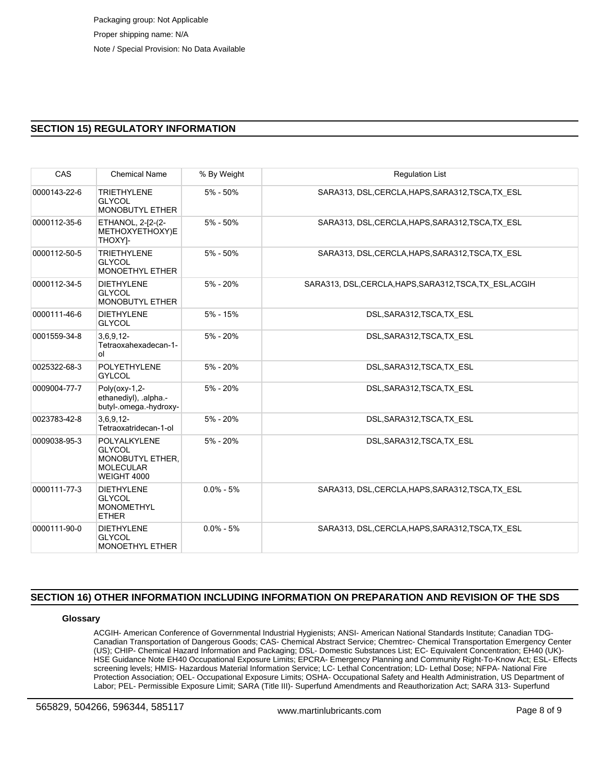### **SECTION 15) REGULATORY INFORMATION**

| CAS          | <b>Chemical Name</b>                                                                        | % By Weight   | <b>Regulation List</b>                                   |
|--------------|---------------------------------------------------------------------------------------------|---------------|----------------------------------------------------------|
| 0000143-22-6 | <b>TRIETHYLENE</b><br><b>GLYCOL</b><br><b>MONOBUTYL ETHER</b>                               | 5% - 50%      | SARA313, DSL, CERCLA, HAPS, SARA312, TSCA, TX ESL        |
| 0000112-35-6 | ETHANOL, 2-[2-(2-<br>METHOXYETHOXY)E<br>THOXY]-                                             | $5\% - 50\%$  | SARA313, DSL, CERCLA, HAPS, SARA312, TSCA, TX ESL        |
| 0000112-50-5 | <b>TRIETHYLENE</b><br><b>GLYCOL</b><br><b>MONOETHYL ETHER</b>                               | $5\% - 50\%$  | SARA313, DSL, CERCLA, HAPS, SARA312, TSCA, TX ESL        |
| 0000112-34-5 | <b>DIETHYLENE</b><br><b>GLYCOL</b><br><b>MONOBUTYL ETHER</b>                                | $5\% - 20\%$  | SARA313, DSL, CERCLA, HAPS, SARA312, TSCA, TX ESL, ACGIH |
| 0000111-46-6 | <b>DIETHYLENE</b><br><b>GLYCOL</b>                                                          | $5% - 15%$    | DSL, SARA312, TSCA, TX ESL                               |
| 0001559-34-8 | $3,6,9,12-$<br>Tetraoxahexadecan-1-<br>ol                                                   | $5\% - 20\%$  | DSL, SARA312, TSCA, TX ESL                               |
| 0025322-68-3 | <b>POLYETHYLENE</b><br><b>GYLCOL</b>                                                        | 5% - 20%      | DSL, SARA312, TSCA, TX ESL                               |
| 0009004-77-7 | Poly(oxy-1,2-<br>ethanediyl), .alpha.-<br>butyl-.omega.-hydroxy-                            | $5\% - 20\%$  | DSL, SARA312, TSCA, TX ESL                               |
| 0023783-42-8 | $3,6,9,12-$<br>Tetraoxatridecan-1-ol                                                        | 5% - 20%      | DSL, SARA312, TSCA, TX ESL                               |
| 0009038-95-3 | POLYALKYLENE<br><b>GLYCOL</b><br>MONOBUTYL ETHER.<br><b>MOLECULAR</b><br><b>WEIGHT 4000</b> | $5\% - 20\%$  | DSL, SARA312, TSCA, TX ESL                               |
| 0000111-77-3 | <b>DIETHYLENE</b><br><b>GLYCOL</b><br><b>MONOMETHYL</b><br><b>ETHER</b>                     | $0.0\% - 5\%$ | SARA313, DSL, CERCLA, HAPS, SARA312, TSCA, TX ESL        |
| 0000111-90-0 | <b>DIETHYLENE</b><br><b>GLYCOL</b><br><b>MONOETHYL ETHER</b>                                | $0.0\% - 5\%$ | SARA313, DSL, CERCLA, HAPS, SARA312, TSCA, TX ESL        |

### **SECTION 16) OTHER INFORMATION INCLUDING INFORMATION ON PREPARATION AND REVISION OF THE SDS**

### **Glossary**

ACGIH- American Conference of Governmental Industrial Hygienists; ANSI- American National Standards Institute; Canadian TDG-Canadian Transportation of Dangerous Goods; CAS- Chemical Abstract Service; Chemtrec- Chemical Transportation Emergency Center (US); CHIP- Chemical Hazard Information and Packaging; DSL- Domestic Substances List; EC- Equivalent Concentration; EH40 (UK)- HSE Guidance Note EH40 Occupational Exposure Limits; EPCRA- Emergency Planning and Community Right-To-Know Act; ESL- Effects screening levels; HMIS- Hazardous Material Information Service; LC- Lethal Concentration; LD- Lethal Dose; NFPA- National Fire Protection Association; OEL- Occupational Exposure Limits; OSHA- Occupational Safety and Health Administration, US Department of Labor; PEL- Permissible Exposure Limit; SARA (Title III)- Superfund Amendments and Reauthorization Act; SARA 313- Superfund

565829, 504266, 596344, 585117 www.martinlubricants.com Page 8 of 9